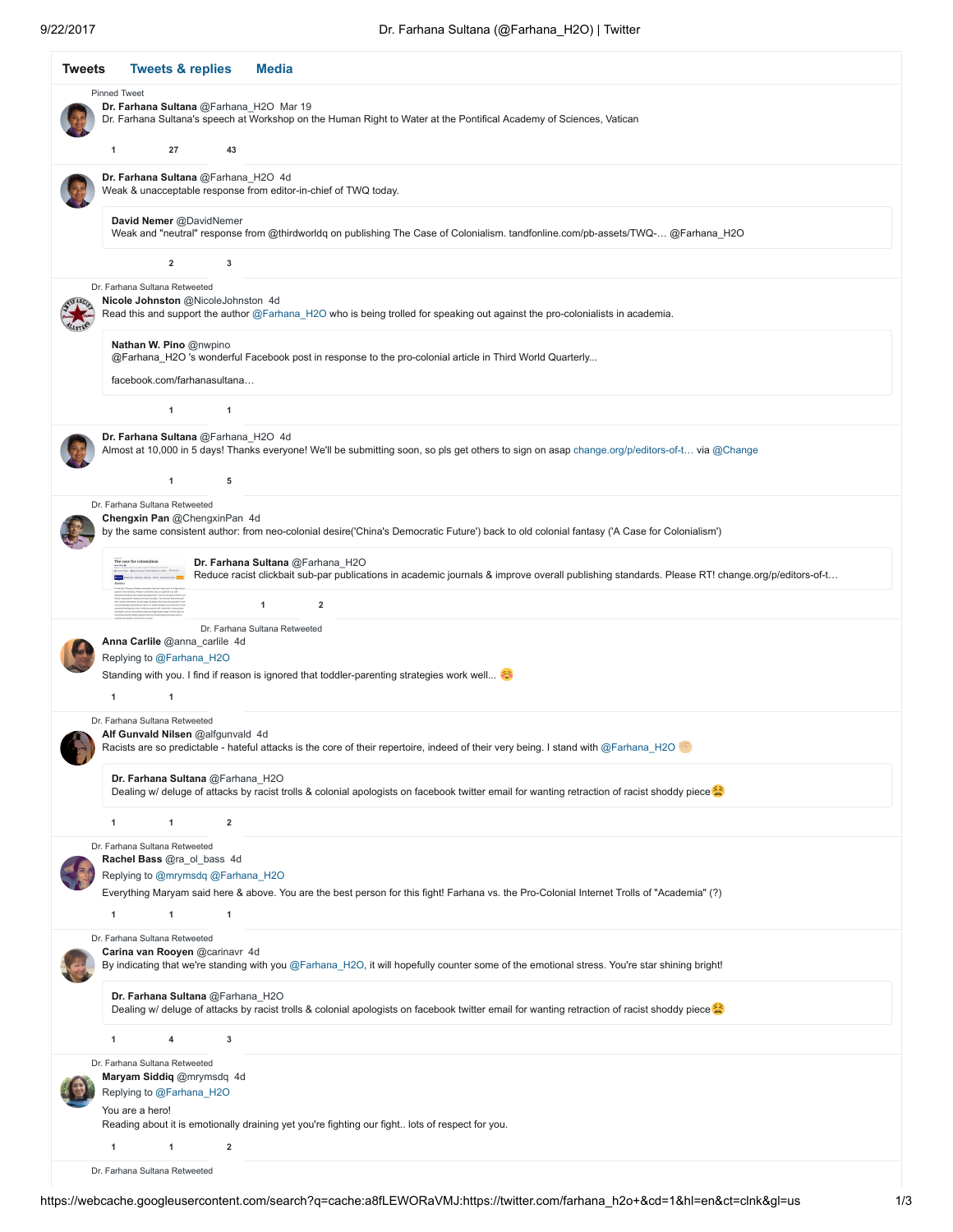| <b>Tweets &amp; replies</b><br>Tweets<br><b>Media</b>                                                                                                                                                                                                     |
|-----------------------------------------------------------------------------------------------------------------------------------------------------------------------------------------------------------------------------------------------------------|
| <b>Pinned Tweet</b><br>Dr. Farhana Sultana @Farhana_H2O Mar 19<br>Dr. Farhana Sultana's speech at Workshop on the Human Right to Water at the Pontifical Academy of Sciences, Vatican<br>1<br>27<br>43                                                    |
| Dr. Farhana Sultana @Farhana_H2O 4d<br>Weak & unacceptable response from editor-in-chief of TWQ today.                                                                                                                                                    |
| David Nemer @DavidNemer<br>Weak and "neutral" response from @thirdworldq on publishing The Case of Colonialism. tandfonline.com/pb-assets/TWQ- @Farhana_H2O                                                                                               |
| $\overline{\mathbf{2}}$<br>3                                                                                                                                                                                                                              |
| Dr. Farhana Sultana Retweeted<br>Nicole Johnston @NicoleJohnston 4d<br>Read this and support the author @Farhana_H2O who is being trolled for speaking out against the pro-colonialists in academia.                                                      |
| Nathan W. Pino @nwpino<br>@Farhana_H2O 's wonderful Facebook post in response to the pro-colonial article in Third World Quarterly<br>facebook.com/farhanasultana                                                                                         |
| 1<br>$\mathbf 1$                                                                                                                                                                                                                                          |
| Dr. Farhana Sultana @Farhana_H2O 4d<br>Almost at 10,000 in 5 days! Thanks everyone! We'll be submitting soon, so pls get others to sign on asap change.org/p/editors-of-t… via @Change<br>5<br>1                                                          |
| Dr. Farhana Sultana Retweeted<br><b>Chengxin Pan @ChengxinPan 4d</b><br>by the same consistent author: from neo-colonial desire('China's Democratic Future') back to old colonial fantasy ('A Case for Colonialism')                                      |
| Dr. Farhana Sultana @Farhana_H2O<br>Reduce racist clickbait sub-par publications in academic journals & improve overall publishing standards. Please RT! change.org/p/editors-of-t<br>$\overline{1}$<br>$\overline{\mathbf{2}}$                           |
| Dr. Farhana Sultana Retweeted<br>Anna Carlile @anna_carlile 4d<br>Replying to @Farhana H2O<br>Standing with you. I find if reason is ignored that toddler-parenting strategies work well<br>1<br>1                                                        |
| Dr. Farhana Sultana Retweeted<br>Alf Gunvald Nilsen @alfgunvald 4d<br>Racists are so predictable - hateful attacks is the core of their repertoire, indeed of their very being. I stand with @Farhana H2O                                                 |
| Dr. Farhana Sultana @Farhana H2O<br>Dealing w/ deluge of attacks by racist trolls & colonial apologists on facebook twitter email for wanting retraction of racist shoddy piece                                                                           |
| 1<br>$\overline{2}$<br>$\mathbf{1}$                                                                                                                                                                                                                       |
| Dr. Farhana Sultana Retweeted<br>Rachel Bass @ra_ol_bass 4d<br>Replying to @mrymsdq @Farhana_H2O<br>Everything Maryam said here & above. You are the best person for this fight! Farhana vs. the Pro-Colonial Internet Trolls of "Academia" (?)<br>1<br>1 |
| Dr. Farhana Sultana Retweeted                                                                                                                                                                                                                             |
| Carina van Rooyen @carinavr 4d<br>By indicating that we're standing with you @Farhana_H2O, it will hopefully counter some of the emotional stress. You're star shining bright!                                                                            |
| Dr. Farhana Sultana @Farhana_H2O<br>Dealing w/ deluge of attacks by racist trolls & colonial apologists on facebook twitter email for wanting retraction of racist shoddy piece                                                                           |
| 1<br>3<br>4                                                                                                                                                                                                                                               |
| Dr. Farhana Sultana Retweeted<br>Maryam Siddiq @mrymsdq 4d<br>Replying to @Farhana_H2O<br>You are a hero!                                                                                                                                                 |
| Reading about it is emotionally draining yet you're fighting our fight lots of respect for you.<br>1<br>1<br>$\overline{2}$                                                                                                                               |
| Dr. Farhana Sultana Retweeted                                                                                                                                                                                                                             |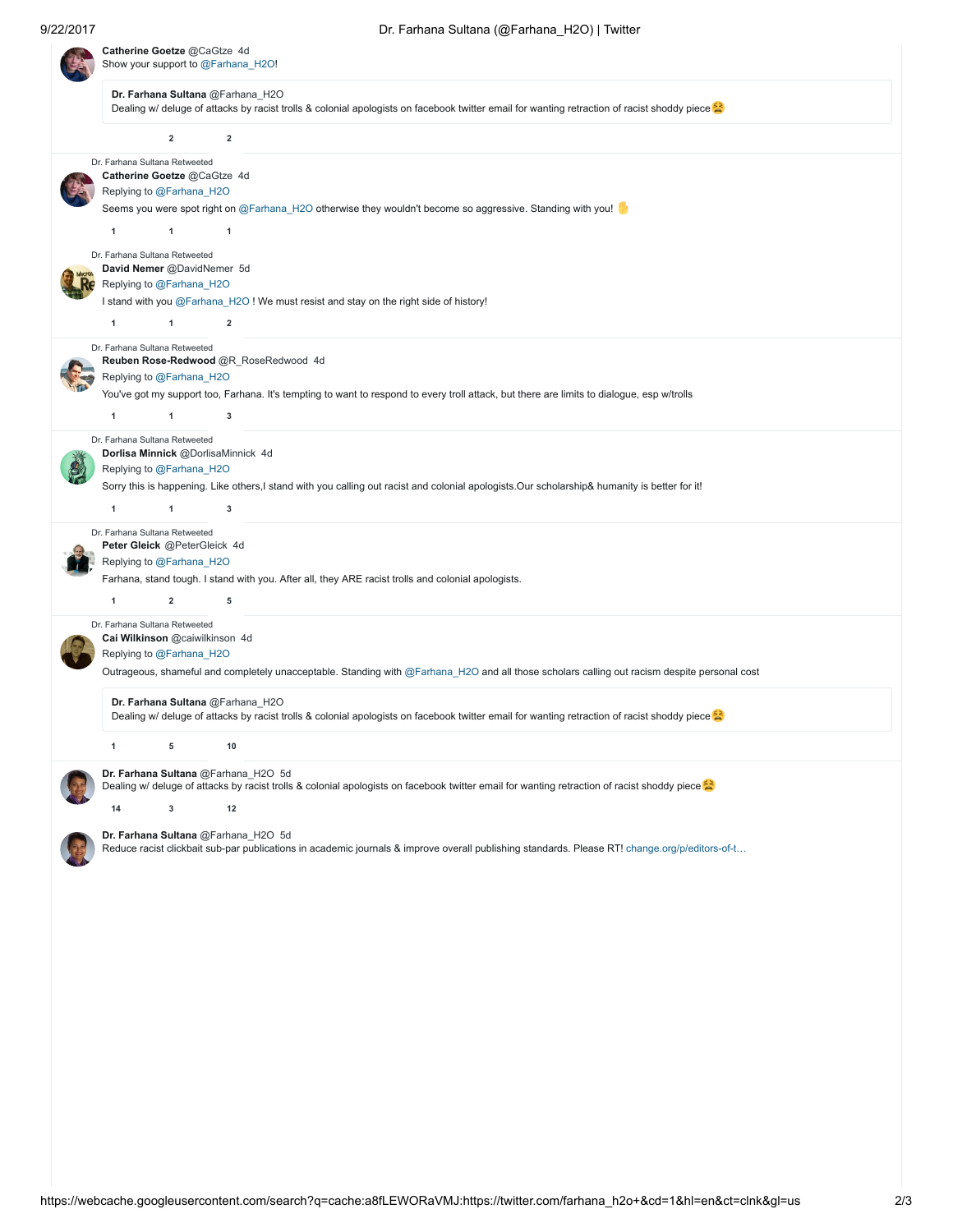|                                                                                                                                                                                 | Catherine Goetze @CaGtze 4d<br>Show your support to @Farhana_H2O!                                           |                                                                                                                                                                                             |  |  |
|---------------------------------------------------------------------------------------------------------------------------------------------------------------------------------|-------------------------------------------------------------------------------------------------------------|---------------------------------------------------------------------------------------------------------------------------------------------------------------------------------------------|--|--|
| Dr. Farhana Sultana @Farhana_H2O<br>Dealing w/ deluge of attacks by racist trolls & colonial apologists on facebook twitter email for wanting retraction of racist shoddy piece |                                                                                                             |                                                                                                                                                                                             |  |  |
|                                                                                                                                                                                 | $\mathbf 2$                                                                                                 | $\overline{2}$                                                                                                                                                                              |  |  |
|                                                                                                                                                                                 | Dr. Farhana Sultana Retweeted<br>Catherine Goetze @CaGtze 4d<br>Replying to @Farhana_H2O                    | Seems you were spot right on @Farhana_H2O otherwise they wouldn't become so aggressive. Standing with you!                                                                                  |  |  |
| 1                                                                                                                                                                               | 1                                                                                                           | $\overline{1}$                                                                                                                                                                              |  |  |
| 1                                                                                                                                                                               | Dr. Farhana Sultana Retweeted<br>David Nemer @DavidNemer 5d<br>Replying to @Farhana_H2O<br>$\mathbf{1}$     | I stand with you @Farhana_H2O! We must resist and stay on the right side of history!<br>$\overline{2}$                                                                                      |  |  |
| 1                                                                                                                                                                               | Dr. Farhana Sultana Retweeted<br>Replying to @Farhana_H2O<br>$\mathbf{1}$                                   | Reuben Rose-Redwood @R_RoseRedwood 4d<br>You've got my support too, Farhana. It's tempting to want to respond to every troll attack, but there are limits to dialogue, esp w/trolls<br>3    |  |  |
| 1                                                                                                                                                                               | Dr. Farhana Sultana Retweeted<br>Replying to @Farhana_H2O<br>$\mathbf 1$                                    | Dorlisa Minnick @DorlisaMinnick 4d<br>Sorry this is happening. Like others,I stand with you calling out racist and colonial apologists.Our scholarship& humanity is better for it!<br>3     |  |  |
| 1                                                                                                                                                                               | Dr. Farhana Sultana Retweeted<br>Peter Gleick @PeterGleick 4d<br>Replying to @Farhana_H2O<br>$\overline{2}$ | Farhana, stand tough. I stand with you. After all, they ARE racist trolls and colonial apologists.<br>5                                                                                     |  |  |
|                                                                                                                                                                                 | Dr. Farhana Sultana Retweeted<br>Cai Wilkinson @caiwilkinson 4d<br>Replying to @Farhana_H2O                 | Outrageous, shameful and completely unacceptable. Standing with @Farhana_H2O and all those scholars calling out racism despite personal cost                                                |  |  |
|                                                                                                                                                                                 |                                                                                                             | Dr. Farhana Sultana @Farhana_H2O<br>Dealing w/ deluge of attacks by racist trolls & colonial apologists on facebook twitter email for wanting retraction of racist shoddy piece             |  |  |
| 1                                                                                                                                                                               | 5                                                                                                           | 10                                                                                                                                                                                          |  |  |
|                                                                                                                                                                                 |                                                                                                             | Dr. Farhana Sultana @Farhana_H2O 5d<br>Dealing w/ deluge of attacks by racist trolls & colonial apologists on facebook twitter email for wanting retraction of racist shoddy piece          |  |  |
| 14                                                                                                                                                                              | 3                                                                                                           | 12<br>Dr. Farhana Sultana @Farhana_H2O 5d<br>Reduce racist clickbait sub-par publications in academic journals & improve overall publishing standards. Please RT! change.org/p/editors-of-t |  |  |